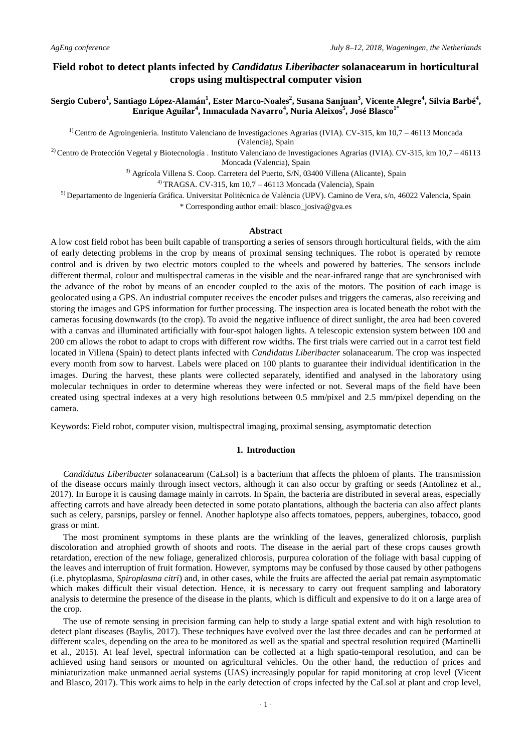# **Field robot to detect plants infected by** *Candidatus Liberibacter* **solanacearum in horticultural crops using multispectral computer vision**

**Sergio Cubero<sup>1</sup> , Santiago López-Alamán<sup>1</sup> , Ester Marco-Noales<sup>2</sup> , Susana Sanjuan<sup>3</sup> , Vicente Alegre<sup>4</sup> , Silvia Barbé<sup>4</sup> , Enrique Aguilar<sup>4</sup> , Inmaculada Navarro<sup>4</sup> , Nuria Aleixos<sup>5</sup> , José Blasco1\***

<sup>1)</sup> Centro de Agroingeniería. Instituto Valenciano de Investigaciones Agrarias (IVIA). CV-315, km 10,7 – 46113 Moncada (Valencia), Spain

<sup>2)</sup> Centro de Protección Vegetal y Biotecnología . Instituto Valenciano de Investigaciones Agrarias (IVIA). CV-315, km 10,7 – 46113 Moncada (Valencia), Spain

3) Agrícola Villena S. Coop. Carretera del Puerto, S/N, 03400 Villena (Alicante), Spain

 $^{4)}$  TRAGSA. CV-315, km 10,7 – 46113 Moncada (Valencia), Spain

5) Departamento de Ingeniería Gráfica. Universitat Politècnica de València (UPV). Camino de Vera, s/n, 46022 Valencia, Spain \* Corresponding author email: blasco\_josiva@gva.es

### **Abstract**

A low cost field robot has been built capable of transporting a series of sensors through horticultural fields, with the aim of early detecting problems in the crop by means of proximal sensing techniques. The robot is operated by remote control and is driven by two electric motors coupled to the wheels and powered by batteries. The sensors include different thermal, colour and multispectral cameras in the visible and the near-infrared range that are synchronised with the advance of the robot by means of an encoder coupled to the axis of the motors. The position of each image is geolocated using a GPS. An industrial computer receives the encoder pulses and triggers the cameras, also receiving and storing the images and GPS information for further processing. The inspection area is located beneath the robot with the cameras focusing downwards (to the crop). To avoid the negative influence of direct sunlight, the area had been covered with a canvas and illuminated artificially with four-spot halogen lights. A telescopic extension system between 100 and 200 cm allows the robot to adapt to crops with different row widths. The first trials were carried out in a carrot test field located in Villena (Spain) to detect plants infected with *Candidatus Liberibacter* solanacearum. The crop was inspected every month from sow to harvest. Labels were placed on 100 plants to guarantee their individual identification in the images. During the harvest, these plants were collected separately, identified and analysed in the laboratory using molecular techniques in order to determine whereas they were infected or not. Several maps of the field have been created using spectral indexes at a very high resolutions between 0.5 mm/pixel and 2.5 mm/pixel depending on the camera.

Keywords: Field robot, computer vision, multispectral imaging, proximal sensing, asymptomatic detection

#### **1. Introduction**

*Candidatus Liberibacter* solanacearum (CaLsol) is a bacterium that affects the phloem of plants. The transmission of the disease occurs mainly through insect vectors, although it can also occur by grafting or seeds (Antolinez et al., 2017). In Europe it is causing damage mainly in carrots. In Spain, the bacteria are distributed in several areas, especially affecting carrots and have already been detected in some potato plantations, although the bacteria can also affect plants such as celery, parsnips, parsley or fennel. Another haplotype also affects tomatoes, peppers, aubergines, tobacco, good grass or mint.

The most prominent symptoms in these plants are the wrinkling of the leaves, generalized chlorosis, purplish discoloration and atrophied growth of shoots and roots. The disease in the aerial part of these crops causes growth retardation, erection of the new foliage, generalized chlorosis, purpurea coloration of the foliage with basal cupping of the leaves and interruption of fruit formation. However, symptoms may be confused by those caused by other pathogens (i.e. phytoplasma, *Spiroplasma citri*) and, in other cases, while the fruits are affected the aerial pat remain asymptomatic which makes difficult their visual detection. Hence, it is necessary to carry out frequent sampling and laboratory analysis to determine the presence of the disease in the plants, which is difficult and expensive to do it on a large area of the crop.

The use of remote sensing in precision farming can help to study a large spatial extent and with high resolution to detect plant diseases (Baylis, 2017). These techniques have evolved over the last three decades and can be performed at different scales, depending on the area to be monitored as well as the spatial and spectral resolution required (Martinelli et al., 2015). At leaf level, spectral information can be collected at a high spatio-temporal resolution, and can be achieved using hand sensors or mounted on agricultural vehicles. On the other hand, the reduction of prices and miniaturization make unmanned aerial systems (UAS) increasingly popular for rapid monitoring at crop level (Vicent and Blasco, 2017). This work aims to help in the early detection of crops infected by the CaLsol at plant and crop level,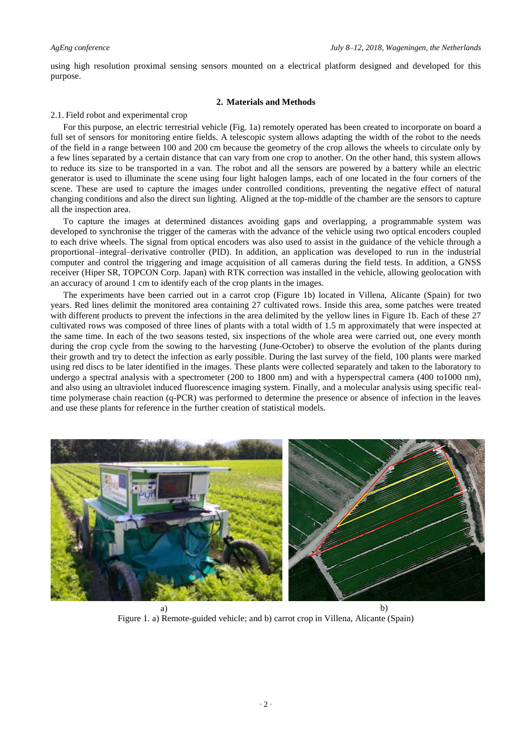using high resolution proximal sensing sensors mounted on a electrical platform designed and developed for this purpose.

# **2. Materials and Methods**

### 2.1. Field robot and experimental crop

For this purpose, an electric terrestrial vehicle (Fig. 1a) remotely operated has been created to incorporate on board a full set of sensors for monitoring entire fields. A telescopic system allows adapting the width of the robot to the needs of the field in a range between 100 and 200 cm because the geometry of the crop allows the wheels to circulate only by a few lines separated by a certain distance that can vary from one crop to another. On the other hand, this system allows to reduce its size to be transported in a van. The robot and all the sensors are powered by a battery while an electric generator is used to illuminate the scene using four light halogen lamps, each of one located in the four corners of the scene. These are used to capture the images under controlled conditions, preventing the negative effect of natural changing conditions and also the direct sun lighting. Aligned at the top-middle of the chamber are the sensors to capture all the inspection area.

To capture the images at determined distances avoiding gaps and overlapping, a programmable system was developed to synchronise the trigger of the cameras with the advance of the vehicle using two optical encoders coupled to each drive wheels. The signal from optical encoders was also used to assist in the guidance of the vehicle through a proportional–integral–derivative controller (PID). In addition, an application was developed to run in the industrial computer and control the triggering and image acquisition of all cameras during the field tests. In addition, a GNSS receiver (Hiper SR, TOPCON Corp. Japan) with RTK correction was installed in the vehicle, allowing geolocation with an accuracy of around 1 cm to identify each of the crop plants in the images.

The experiments have been carried out in a carrot crop (Figure 1b) located in Villena, Alicante (Spain) for two years. Red lines delimit the monitored area containing 27 cultivated rows. Inside this area, some patches were treated with different products to prevent the infections in the area delimited by the yellow lines in Figure 1b. Each of these 27 cultivated rows was composed of three lines of plants with a total width of 1.5 m approximately that were inspected at the same time. In each of the two seasons tested, six inspections of the whole area were carried out, one every month during the crop cycle from the sowing to the harvesting (June-October) to observe the evolution of the plants during their growth and try to detect the infection as early possible. During the last survey of the field, 100 plants were marked using red discs to be later identified in the images. These plants were collected separately and taken to the laboratory to undergo a spectral analysis with a spectrometer (200 to 1800 nm) and with a hyperspectral camera (400 to1000 nm), and also using an ultraviolet induced fluorescence imaging system. Finally, and a molecular analysis using specific realtime polymerase chain reaction (q-PCR) was performed to determine the presence or absence of infection in the leaves and use these plants for reference in the further creation of statistical models.



Figure 1. a) Remote-guided vehicle; and b) carrot crop in Villena, Alicante (Spain)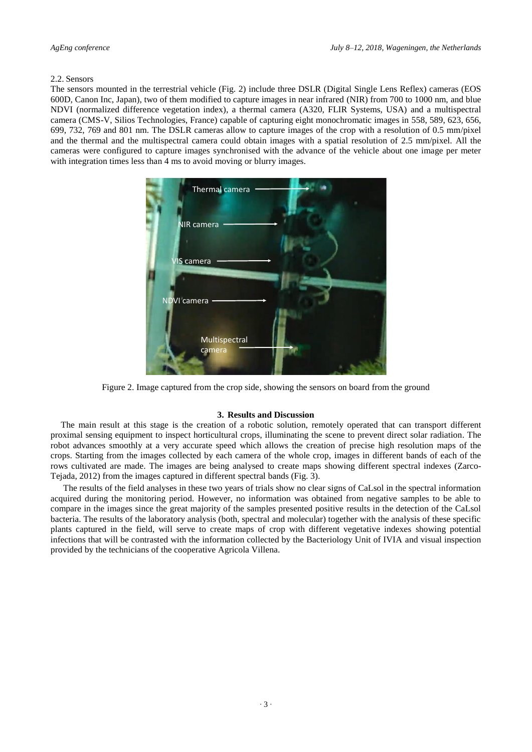### 2.2. Sensors

The sensors mounted in the terrestrial vehicle (Fig. 2) include three DSLR (Digital Single Lens Reflex) cameras (EOS 600D, Canon Inc, Japan), two of them modified to capture images in near infrared (NIR) from 700 to 1000 nm, and blue NDVI (normalized difference vegetation index), a thermal camera (A320, FLIR Systems, USA) and a multispectral camera (CMS-V, Silios Technologies, France) capable of capturing eight monochromatic images in 558, 589, 623, 656, 699, 732, 769 and 801 nm. The DSLR cameras allow to capture images of the crop with a resolution of 0.5 mm/pixel and the thermal and the multispectral camera could obtain images with a spatial resolution of 2.5 mm/pixel. All the cameras were configured to capture images synchronised with the advance of the vehicle about one image per meter with integration times less than 4 ms to avoid moving or blurry images.



Figure 2. Image captured from the crop side, showing the sensors on board from the ground

## **3. Results and Discussion**

The main result at this stage is the creation of a robotic solution, remotely operated that can transport different proximal sensing equipment to inspect horticultural crops, illuminating the scene to prevent direct solar radiation. The robot advances smoothly at a very accurate speed which allows the creation of precise high resolution maps of the crops. Starting from the images collected by each camera of the whole crop, images in different bands of each of the rows cultivated are made. The images are being analysed to create maps showing different spectral indexes (Zarco-Tejada, 2012) from the images captured in different spectral bands (Fig. 3).

The results of the field analyses in these two years of trials show no clear signs of CaLsol in the spectral information acquired during the monitoring period. However, no information was obtained from negative samples to be able to compare in the images since the great majority of the samples presented positive results in the detection of the CaLsol bacteria. The results of the laboratory analysis (both, spectral and molecular) together with the analysis of these specific plants captured in the field, will serve to create maps of crop with different vegetative indexes showing potential infections that will be contrasted with the information collected by the Bacteriology Unit of IVIA and visual inspection provided by the technicians of the cooperative Agricola Villena.